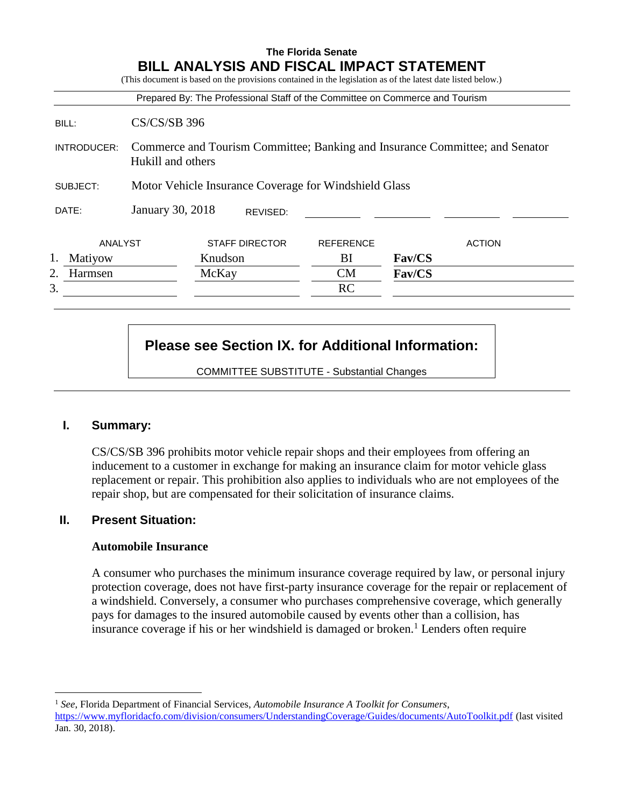|             |                                                                                                   |                       |          | Prepared By: The Professional Staff of the Committee on Commerce and Tourism |               |               |  |  |  |  |  |
|-------------|---------------------------------------------------------------------------------------------------|-----------------------|----------|------------------------------------------------------------------------------|---------------|---------------|--|--|--|--|--|
| BILL:       | <b>CS/CS/SB 396</b>                                                                               |                       |          |                                                                              |               |               |  |  |  |  |  |
| INTRODUCER: | Commerce and Tourism Committee; Banking and Insurance Committee; and Senator<br>Hukill and others |                       |          |                                                                              |               |               |  |  |  |  |  |
| SUBJECT:    | Motor Vehicle Insurance Coverage for Windshield Glass                                             |                       |          |                                                                              |               |               |  |  |  |  |  |
| DATE:       | January 30, 2018                                                                                  |                       | REVISED: |                                                                              |               |               |  |  |  |  |  |
| ANALYST     |                                                                                                   | <b>STAFF DIRECTOR</b> |          | <b>REFERENCE</b>                                                             |               | <b>ACTION</b> |  |  |  |  |  |
| Matiyow     |                                                                                                   | Knudson               |          | BI                                                                           | <b>Fav/CS</b> |               |  |  |  |  |  |
| Harmsen     |                                                                                                   | McKay                 |          | <b>CM</b>                                                                    | <b>Fav/CS</b> |               |  |  |  |  |  |
| 3.          |                                                                                                   |                       |          | <b>RC</b>                                                                    |               |               |  |  |  |  |  |

# **Please see Section IX. for Additional Information:**

COMMITTEE SUBSTITUTE - Substantial Changes

# **I. Summary:**

 $\overline{a}$ 

CS/CS/SB 396 prohibits motor vehicle repair shops and their employees from offering an inducement to a customer in exchange for making an insurance claim for motor vehicle glass replacement or repair. This prohibition also applies to individuals who are not employees of the repair shop, but are compensated for their solicitation of insurance claims.

# **II. Present Situation:**

### **Automobile Insurance**

A consumer who purchases the minimum insurance coverage required by law, or personal injury protection coverage, does not have first-party insurance coverage for the repair or replacement of a windshield. Conversely, a consumer who purchases comprehensive coverage, which generally pays for damages to the insured automobile caused by events other than a collision, has insurance coverage if his or her windshield is damaged or broken.<sup>1</sup> Lenders often require

<sup>1</sup> *See*, Florida Department of Financial Services, *Automobile Insurance A Toolkit for Consumers*, <https://www.myfloridacfo.com/division/consumers/UnderstandingCoverage/Guides/documents/AutoToolkit.pdf> (last visited Jan. 30, 2018).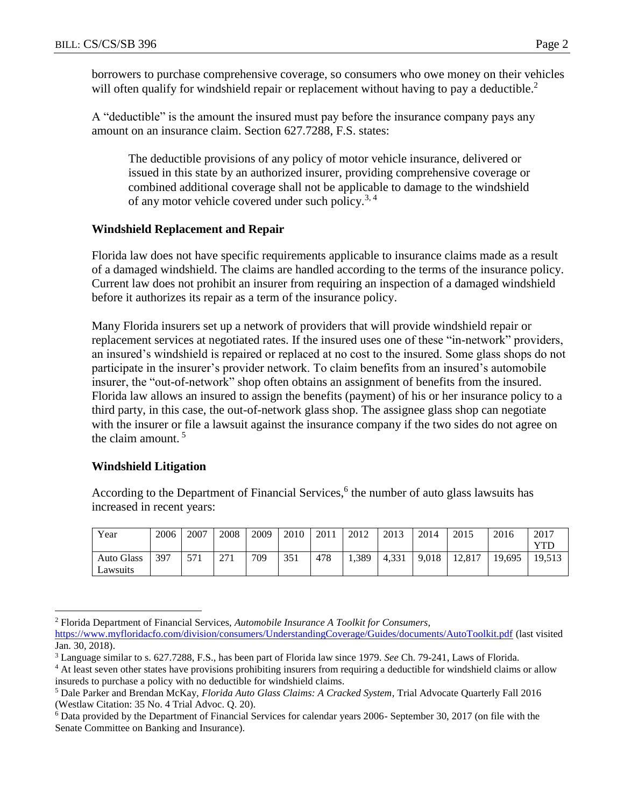borrowers to purchase comprehensive coverage, so consumers who owe money on their vehicles will often qualify for windshield repair or replacement without having to pay a deductible.<sup>2</sup>

A "deductible" is the amount the insured must pay before the insurance company pays any amount on an insurance claim. Section 627.7288, F.S. states:

The deductible provisions of any policy of motor vehicle insurance, delivered or issued in this state by an authorized insurer, providing comprehensive coverage or combined additional coverage shall not be applicable to damage to the windshield of any motor vehicle covered under such policy.<sup>3, 4</sup>

### **Windshield Replacement and Repair**

Florida law does not have specific requirements applicable to insurance claims made as a result of a damaged windshield. The claims are handled according to the terms of the insurance policy. Current law does not prohibit an insurer from requiring an inspection of a damaged windshield before it authorizes its repair as a term of the insurance policy.

Many Florida insurers set up a network of providers that will provide windshield repair or replacement services at negotiated rates. If the insured uses one of these "in-network" providers, an insured's windshield is repaired or replaced at no cost to the insured. Some glass shops do not participate in the insurer's provider network. To claim benefits from an insured's automobile insurer, the "out-of-network" shop often obtains an assignment of benefits from the insured. Florida law allows an insured to assign the benefits (payment) of his or her insurance policy to a third party, in this case, the out-of-network glass shop. The assignee glass shop can negotiate with the insurer or file a lawsuit against the insurance company if the two sides do not agree on the claim amount.  $5$ 

# **Windshield Litigation**

According to the Department of Financial Services,<sup>6</sup> the number of auto glass lawsuits has increased in recent years:

| Year              | 2006 | 2007 | 2008 | 2009 | 2010 | 2011 | 2012  | 2013  | 2014  | 2015   | 2016   | 2017       |
|-------------------|------|------|------|------|------|------|-------|-------|-------|--------|--------|------------|
|                   |      |      |      |      |      |      |       |       |       |        |        | <b>YTL</b> |
| <b>Auto Glass</b> | 397  | 571  | 271  | 709  | 351  | 478  | 1,389 | 4.331 | 9.018 | 12.817 | 19,695 | 19,513     |
| Lawsuits          |      |      |      |      |      |      |       |       |       |        |        |            |

 $\overline{a}$ <sup>2</sup> Florida Department of Financial Services, *Automobile Insurance A Toolkit for Consumers*,

<https://www.myfloridacfo.com/division/consumers/UnderstandingCoverage/Guides/documents/AutoToolkit.pdf> (last visited Jan. 30, 2018).

<sup>3</sup> Language similar to s. 627.7288, F.S., has been part of Florida law since 1979. *See* Ch. 79-241, Laws of Florida.

<sup>&</sup>lt;sup>4</sup> At least seven other states have provisions prohibiting insurers from requiring a deductible for windshield claims or allow insureds to purchase a policy with no deductible for windshield claims.

<sup>5</sup> Dale Parker and Brendan McKay, *Florida Auto Glass Claims: A Cracked System*, Trial Advocate Quarterly Fall 2016 (Westlaw Citation: 35 No. 4 Trial Advoc. Q. 20).

<sup>6</sup> Data provided by the Department of Financial Services for calendar years 2006- September 30, 2017 (on file with the Senate Committee on Banking and Insurance).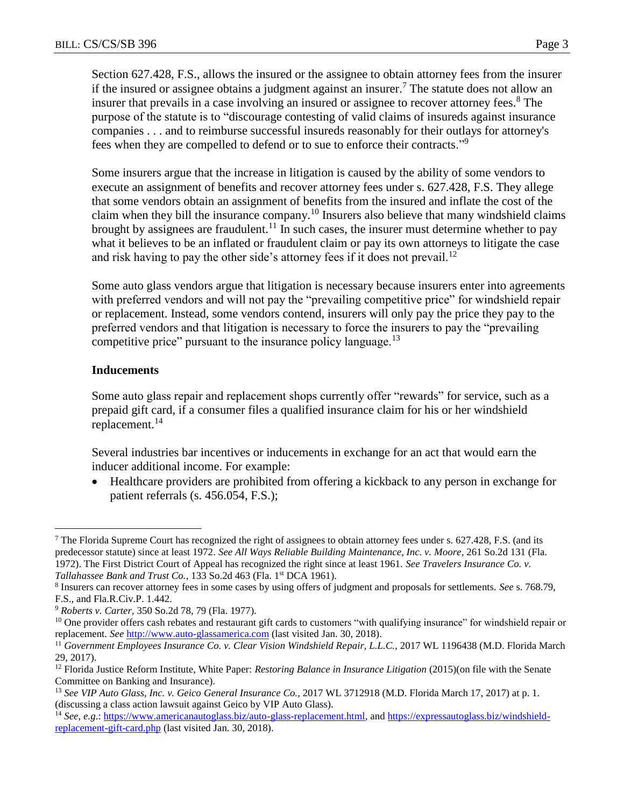Section 627.428, F.S., allows the insured or the assignee to obtain attorney fees from the insurer if the insured or assignee obtains a judgment against an insurer.<sup>7</sup> The statute does not allow an insurer that prevails in a case involving an insured or assignee to recover attorney fees.<sup>8</sup> The purpose of the statute is to "discourage contesting of valid claims of insureds against insurance companies . . . and to reimburse successful insureds reasonably for their outlays for attorney's fees when they are compelled to defend or to sue to enforce their contracts."<sup>9</sup>

Some insurers argue that the increase in litigation is caused by the ability of some vendors to execute an assignment of benefits and recover attorney fees under s. 627.428, F.S. They allege that some vendors obtain an assignment of benefits from the insured and inflate the cost of the claim when they bill the insurance company.<sup>10</sup> Insurers also believe that many windshield claims brought by assignees are fraudulent.<sup>11</sup> In such cases, the insurer must determine whether to pay what it believes to be an inflated or fraudulent claim or pay its own attorneys to litigate the case and risk having to pay the other side's attorney fees if it does not prevail.<sup>12</sup>

Some auto glass vendors argue that litigation is necessary because insurers enter into agreements with preferred vendors and will not pay the "prevailing competitive price" for windshield repair or replacement. Instead, some vendors contend, insurers will only pay the price they pay to the preferred vendors and that litigation is necessary to force the insurers to pay the "prevailing competitive price" pursuant to the insurance policy language. $^{13}$ 

### **Inducements**

 $\overline{a}$ 

Some auto glass repair and replacement shops currently offer "rewards" for service, such as a prepaid gift card, if a consumer files a qualified insurance claim for his or her windshield replacement.<sup>14</sup>

Several industries bar incentives or inducements in exchange for an act that would earn the inducer additional income. For example:

 Healthcare providers are prohibited from offering a kickback to any person in exchange for patient referrals (s. 456.054, F.S.);

<sup>7</sup> The Florida Supreme Court has recognized the right of assignees to obtain attorney fees under s. 627.428, F.S. (and its predecessor statute) since at least 1972. *See All Ways Reliable Building Maintenance, Inc. v. Moore*, 261 So.2d 131 (Fla. 1972). The First District Court of Appeal has recognized the right since at least 1961. *See Travelers Insurance Co. v. Tallahassee Bank and Trust Co.*, 133 So.2d 463 (Fla. 1<sup>st</sup> DCA 1961).

<sup>8</sup> Insurers can recover attorney fees in some cases by using offers of judgment and proposals for settlements. *See* s. 768.79, F.S., and Fla.R.Civ.P. 1.442.

<sup>9</sup> *Roberts v. Carter*, 350 So.2d 78, 79 (Fla. 1977).

<sup>&</sup>lt;sup>10</sup> One provider offers cash rebates and restaurant gift cards to customers "with qualifying insurance" for windshield repair or replacement. *See* [http://www.auto-glassamerica.com](http://www.auto-glassamerica.com/) (last visited Jan. 30, 2018).

<sup>&</sup>lt;sup>11</sup> Government Employees Insurance Co. v. Clear Vision Windshield Repair, L.L.C., 2017 WL 1196438 (M.D. Florida March 29, 2017).

<sup>12</sup> Florida Justice Reform Institute, White Paper: *Restoring Balance in Insurance Litigation* (2015)(on file with the Senate Committee on Banking and Insurance).

<sup>13</sup> *See VIP Auto Glass, Inc. v. Geico General Insurance Co.,* 2017 WL 3712918 (M.D. Florida March 17, 2017) at p. 1. (discussing a class action lawsuit against Geico by VIP Auto Glass).

<sup>14</sup> *See, e.g*.[: https://www.americanautoglass.biz/auto-glass-replacement.html,](https://www.americanautoglass.biz/auto-glass-replacement.html) and [https://expressautoglass.biz/windshield](https://expressautoglass.biz/windshield-replacement-gift-card.php)[replacement-gift-card.php](https://expressautoglass.biz/windshield-replacement-gift-card.php) (last visited Jan. 30, 2018).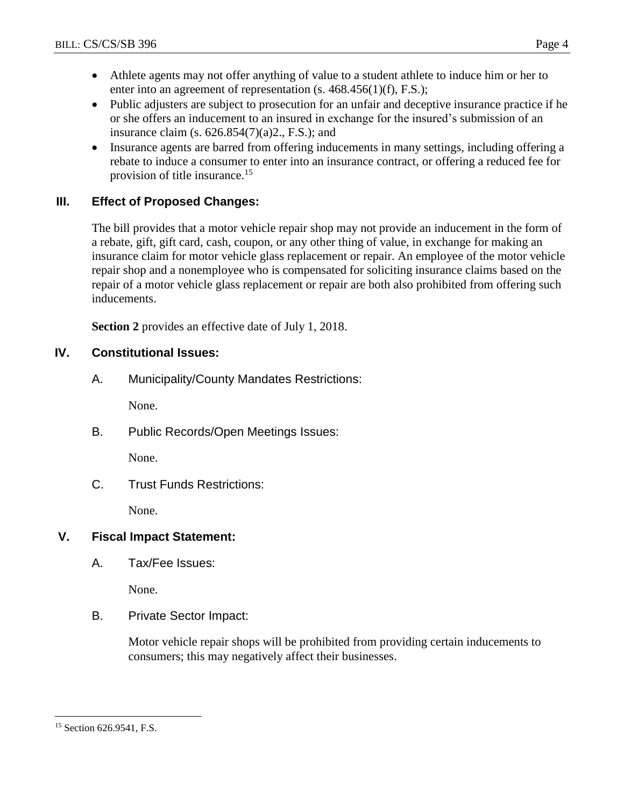- Athlete agents may not offer anything of value to a student athlete to induce him or her to enter into an agreement of representation (s. 468.456(1)(f), F.S.);
- Public adjusters are subject to prosecution for an unfair and deceptive insurance practice if he or she offers an inducement to an insured in exchange for the insured's submission of an insurance claim (s.  $626.854(7)(a)2$ ., F.S.); and
- Insurance agents are barred from offering inducements in many settings, including offering a rebate to induce a consumer to enter into an insurance contract, or offering a reduced fee for provision of title insurance.<sup>15</sup>

# **III. Effect of Proposed Changes:**

The bill provides that a motor vehicle repair shop may not provide an inducement in the form of a rebate, gift, gift card, cash, coupon, or any other thing of value, in exchange for making an insurance claim for motor vehicle glass replacement or repair. An employee of the motor vehicle repair shop and a nonemployee who is compensated for soliciting insurance claims based on the repair of a motor vehicle glass replacement or repair are both also prohibited from offering such inducements.

**Section 2** provides an effective date of July 1, 2018.

# **IV. Constitutional Issues:**

A. Municipality/County Mandates Restrictions:

None.

B. Public Records/Open Meetings Issues:

None.

C. Trust Funds Restrictions:

None.

# **V. Fiscal Impact Statement:**

A. Tax/Fee Issues:

None.

B. Private Sector Impact:

Motor vehicle repair shops will be prohibited from providing certain inducements to consumers; this may negatively affect their businesses.

 $\overline{a}$ <sup>15</sup> Section 626.9541, F.S.